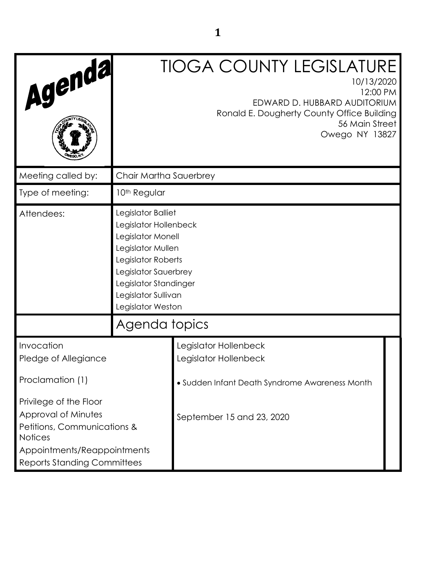| Agenda                                                                                                                                                              |                                                                                                                                                                                                          | <b>TIOGA COUNTY LEGISLATURE</b><br>10/13/2020<br>12:00 PM<br>EDWARD D. HUBBARD AUDITORIUM<br>Ronald E. Dougherty County Office Building<br>56 Main Street<br>Owego NY 13827 |
|---------------------------------------------------------------------------------------------------------------------------------------------------------------------|----------------------------------------------------------------------------------------------------------------------------------------------------------------------------------------------------------|-----------------------------------------------------------------------------------------------------------------------------------------------------------------------------|
| Meeting called by:                                                                                                                                                  | Chair Martha Sauerbrey                                                                                                                                                                                   |                                                                                                                                                                             |
| Type of meeting:                                                                                                                                                    | 10 <sup>th</sup> Regular                                                                                                                                                                                 |                                                                                                                                                                             |
| Attendees:                                                                                                                                                          | Legislator Balliet<br>Legislator Hollenbeck<br>Legislator Monell<br>Legislator Mullen<br>Legislator Roberts<br>Legislator Sauerbrey<br>Legislator Standinger<br>Legislator Sullivan<br>Legislator Weston |                                                                                                                                                                             |
|                                                                                                                                                                     | Agenda topics                                                                                                                                                                                            |                                                                                                                                                                             |
| Invocation<br>Pledge of Allegiance<br>Proclamation (1)                                                                                                              |                                                                                                                                                                                                          | Legislator Hollenbeck<br>Legislator Hollenbeck<br>· Sudden Infant Death Syndrome Awareness Month                                                                            |
| Privilege of the Floor<br>Approval of Minutes<br>Petitions, Communications &<br><b>Notices</b><br>Appointments/Reappointments<br><b>Reports Standing Committees</b> |                                                                                                                                                                                                          | September 15 and 23, 2020                                                                                                                                                   |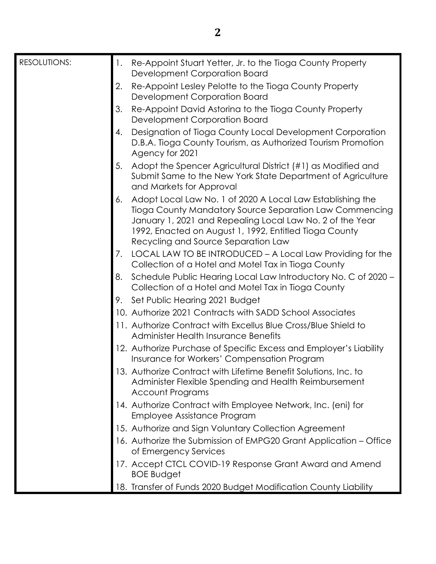| <b>RESOLUTIONS:</b> | 1. | Re-Appoint Stuart Yetter, Jr. to the Tioga County Property                                                                                                                                                                                                                          |
|---------------------|----|-------------------------------------------------------------------------------------------------------------------------------------------------------------------------------------------------------------------------------------------------------------------------------------|
|                     |    | Development Corporation Board                                                                                                                                                                                                                                                       |
|                     | 2. | Re-Appoint Lesley Pelotte to the Tioga County Property<br>Development Corporation Board                                                                                                                                                                                             |
|                     | 3. | Re-Appoint David Astorina to the Tioga County Property<br>Development Corporation Board                                                                                                                                                                                             |
|                     | 4. | Designation of Tioga County Local Development Corporation<br>D.B.A. Tioga County Tourism, as Authorized Tourism Promotion<br>Agency for 2021                                                                                                                                        |
|                     | 5. | Adopt the Spencer Agricultural District (#1) as Modified and<br>Submit Same to the New York State Department of Agriculture<br>and Markets for Approval                                                                                                                             |
|                     | 6. | Adopt Local Law No. 1 of 2020 A Local Law Establishing the<br>Tioga County Mandatory Source Separation Law Commencing<br>January 1, 2021 and Repealing Local Law No. 2 of the Year<br>1992, Enacted on August 1, 1992, Entitled Tioga County<br>Recycling and Source Separation Law |
|                     | 7. | LOCAL LAW TO BE INTRODUCED – A Local Law Providing for the<br>Collection of a Hotel and Motel Tax in Tioga County                                                                                                                                                                   |
|                     | 8. | Schedule Public Hearing Local Law Introductory No. C of 2020 -<br>Collection of a Hotel and Motel Tax in Tioga County                                                                                                                                                               |
|                     | 9. | Set Public Hearing 2021 Budget                                                                                                                                                                                                                                                      |
|                     |    | 10. Authorize 2021 Contracts with SADD School Associates                                                                                                                                                                                                                            |
|                     |    | 11. Authorize Contract with Excellus Blue Cross/Blue Shield to<br><b>Administer Health Insurance Benefits</b>                                                                                                                                                                       |
|                     |    | 12. Authorize Purchase of Specific Excess and Employer's Liability<br>Insurance for Workers' Compensation Program                                                                                                                                                                   |
|                     |    | 13. Authorize Contract with Lifetime Benefit Solutions, Inc. to<br>Administer Flexible Spending and Health Reimbursement<br><b>Account Programs</b>                                                                                                                                 |
|                     |    | 14. Authorize Contract with Employee Network, Inc. (eni) for<br>Employee Assistance Program                                                                                                                                                                                         |
|                     |    | 15. Authorize and Sign Voluntary Collection Agreement                                                                                                                                                                                                                               |
|                     |    | 16. Authorize the Submission of EMPG20 Grant Application – Office<br>of Emergency Services                                                                                                                                                                                          |
|                     |    | 17. Accept CTCL COVID-19 Response Grant Award and Amend<br><b>BOE Budget</b>                                                                                                                                                                                                        |
|                     |    | 18. Transfer of Funds 2020 Budget Modification County Liability                                                                                                                                                                                                                     |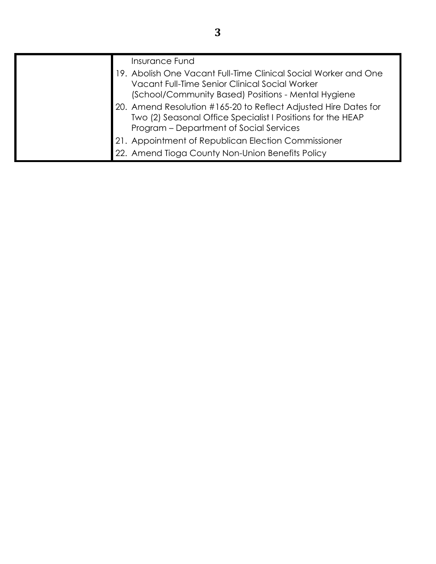| <b>Insurance Fund</b>                                                                                                                                                     |
|---------------------------------------------------------------------------------------------------------------------------------------------------------------------------|
| 19. Abolish One Vacant Full-Time Clinical Social Worker and One<br>Vacant Full-Time Senior Clinical Social Worker<br>(School/Community Based) Positions - Mental Hygiene  |
| 20. Amend Resolution #165-20 to Reflect Adjusted Hire Dates for<br>Two (2) Seasonal Office Specialist I Positions for the HEAP<br>Program – Department of Social Services |
| 21. Appointment of Republican Election Commissioner                                                                                                                       |
| 22. Amend Tioga County Non-Union Benefits Policy                                                                                                                          |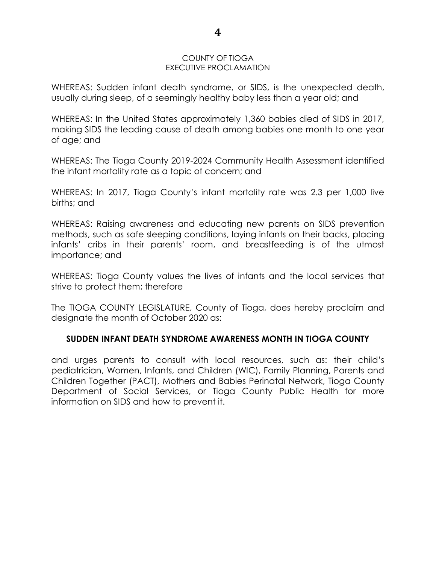#### COUNTY OF TIOGA EXECUTIVE PROCLAMATION

WHEREAS: Sudden infant death syndrome, or SIDS, is the unexpected death, usually during sleep, of a seemingly healthy baby less than a year old; and

WHEREAS: In the United States approximately 1,360 babies died of SIDS in 2017, making SIDS the leading cause of death among babies one month to one year of age; and

WHEREAS: The Tioga County 2019-2024 Community Health Assessment identified the infant mortality rate as a topic of concern; and

WHEREAS: In 2017, Tioga County's infant mortality rate was 2.3 per 1,000 live births; and

WHEREAS: Raising awareness and educating new parents on SIDS prevention methods, such as safe sleeping conditions, laying infants on their backs, placing infants' cribs in their parents' room, and breastfeeding is of the utmost importance; and

WHEREAS: Tioga County values the lives of infants and the local services that strive to protect them; therefore

The TIOGA COUNTY LEGISLATURE, County of Tioga, does hereby proclaim and designate the month of October 2020 as:

## **SUDDEN INFANT DEATH SYNDROME AWARENESS MONTH IN TIOGA COUNTY**

and urges parents to consult with local resources, such as: their child's pediatrician, Women, Infants, and Children (WIC), Family Planning, Parents and Children Together (PACT), Mothers and Babies Perinatal Network, Tioga County Department of Social Services, or Tioga County Public Health for more information on SIDS and how to prevent it.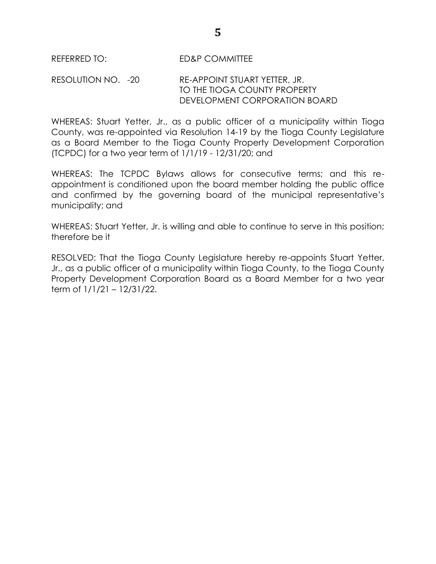RESOLUTION NO. -20 RE-APPOINT STUART YETTER, JR. TO THE TIOGA COUNTY PROPERTY DEVELOPMENT CORPORATION BOARD

WHEREAS: Stuart Yetter, Jr., as a public officer of a municipality within Tioga County, was re-appointed via Resolution 14-19 by the Tioga County Legislature as a Board Member to the Tioga County Property Development Corporation (TCPDC) for a two year term of 1/1/19 - 12/31/20; and

WHEREAS: The TCPDC Bylaws allows for consecutive terms; and this reappointment is conditioned upon the board member holding the public office and confirmed by the governing board of the municipal representative's municipality; and

WHEREAS: Stuart Yetter, Jr. is willing and able to continue to serve in this position; therefore be it

RESOLVED: That the Tioga County Legislature hereby re-appoints Stuart Yetter, Jr., as a public officer of a municipality within Tioga County, to the Tioga County Property Development Corporation Board as a Board Member for a two year term of 1/1/21 – 12/31/22.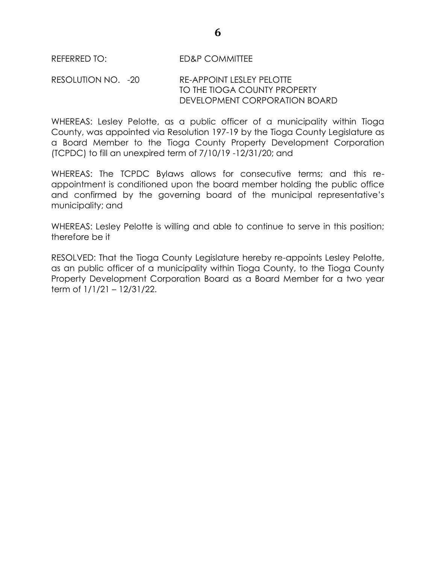## RESOLUTION NO. -20 RE-APPOINT LESLEY PELOTTE TO THE TIOGA COUNTY PROPERTY DEVELOPMENT CORPORATION BOARD

WHEREAS: Lesley Pelotte, as a public officer of a municipality within Tioga County, was appointed via Resolution 197-19 by the Tioga County Legislature as a Board Member to the Tioga County Property Development Corporation (TCPDC) to fill an unexpired term of 7/10/19 -12/31/20; and

WHEREAS: The TCPDC Bylaws allows for consecutive terms; and this reappointment is conditioned upon the board member holding the public office and confirmed by the governing board of the municipal representative's municipality; and

WHEREAS: Lesley Pelotte is willing and able to continue to serve in this position; therefore be it

RESOLVED: That the Tioga County Legislature hereby re-appoints Lesley Pelotte, as an public officer of a municipality within Tioga County, to the Tioga County Property Development Corporation Board as a Board Member for a two year term of 1/1/21 – 12/31/22.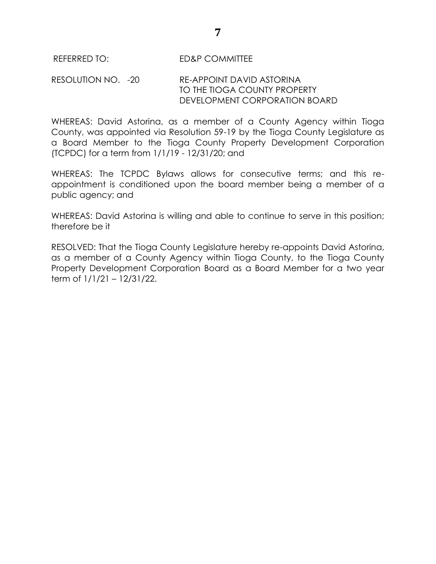## RESOLUTION NO. -20 RE-APPOINT DAVID ASTORINA TO THE TIOGA COUNTY PROPERTY DEVELOPMENT CORPORATION BOARD

WHEREAS: David Astorina, as a member of a County Agency within Tioga County, was appointed via Resolution 59-19 by the Tioga County Legislature as a Board Member to the Tioga County Property Development Corporation (TCPDC) for a term from 1/1/19 - 12/31/20; and

WHEREAS: The TCPDC Bylaws allows for consecutive terms; and this reappointment is conditioned upon the board member being a member of a public agency; and

WHEREAS: David Astorina is willing and able to continue to serve in this position; therefore be it

RESOLVED: That the Tioga County Legislature hereby re-appoints David Astorina, as a member of a County Agency within Tioga County, to the Tioga County Property Development Corporation Board as a Board Member for a two year term of 1/1/21 – 12/31/22.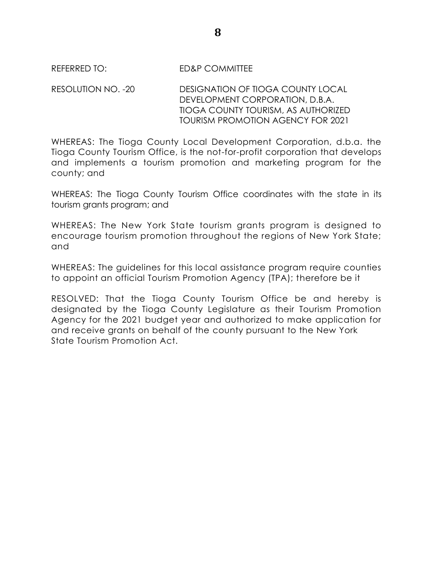RESOLUTION NO. -20 DESIGNATION OF TIOGA COUNTY LOCAL DEVELOPMENT CORPORATION, D.B.A. TIOGA COUNTY TOURISM, AS AUTHORIZED TOURISM PROMOTION AGENCY FOR 2021

WHEREAS: The Tioga County Local Development Corporation, d.b.a. the Tioga County Tourism Office, is the not-for-profit corporation that develops and implements a tourism promotion and marketing program for the county; and

WHEREAS: The Tioga County Tourism Office coordinates with the state in its tourism grants program; and

WHEREAS: The New York State tourism grants program is designed to encourage tourism promotion throughout the regions of New York State; and

WHEREAS: The guidelines for this local assistance program require counties to appoint an official Tourism Promotion Agency (TPA); therefore be it

RESOLVED: That the Tioga County Tourism Office be and hereby is designated by the Tioga County Legislature as their Tourism Promotion Agency for the 2021 budget year and authorized to make application for and receive grants on behalf of the county pursuant to the New York State Tourism Promotion Act.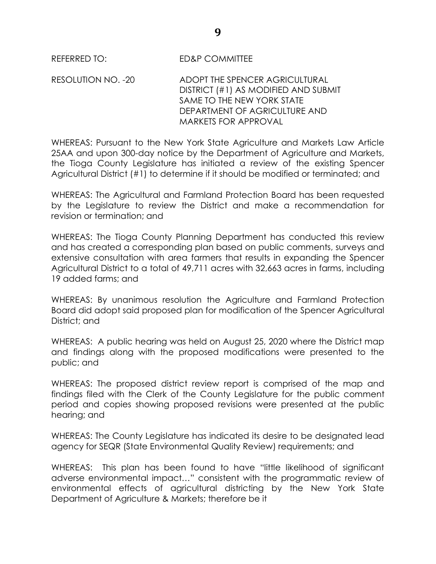RESOLUTION NO. -20 ADOPT THE SPENCER AGRICULTURAL DISTRICT (#1) AS MODIFIED AND SUBMIT SAME TO THE NEW YORK STATE DEPARTMENT OF AGRICULTURE AND MARKETS FOR APPROVAL

WHEREAS: Pursuant to the New York State Agriculture and Markets Law Article 25AA and upon 300-day notice by the Department of Agriculture and Markets, the Tioga County Legislature has initiated a review of the existing Spencer Agricultural District (#1) to determine if it should be modified or terminated; and

WHEREAS: The Agricultural and Farmland Protection Board has been requested by the Legislature to review the District and make a recommendation for revision or termination; and

WHEREAS: The Tioga County Planning Department has conducted this review and has created a corresponding plan based on public comments, surveys and extensive consultation with area farmers that results in expanding the Spencer Agricultural District to a total of 49,711 acres with 32,663 acres in farms, including 19 added farms; and

WHEREAS: By unanimous resolution the Agriculture and Farmland Protection Board did adopt said proposed plan for modification of the Spencer Agricultural District; and

WHEREAS: A public hearing was held on August 25, 2020 where the District map and findings along with the proposed modifications were presented to the public; and

WHEREAS: The proposed district review report is comprised of the map and findings filed with the Clerk of the County Legislature for the public comment period and copies showing proposed revisions were presented at the public hearing; and

WHEREAS: The County Legislature has indicated its desire to be designated lead agency for SEQR (State Environmental Quality Review) requirements; and

WHEREAS: This plan has been found to have "little likelihood of significant" adverse environmental impact…" consistent with the programmatic review of environmental effects of agricultural districting by the New York State Department of Agriculture & Markets; therefore be it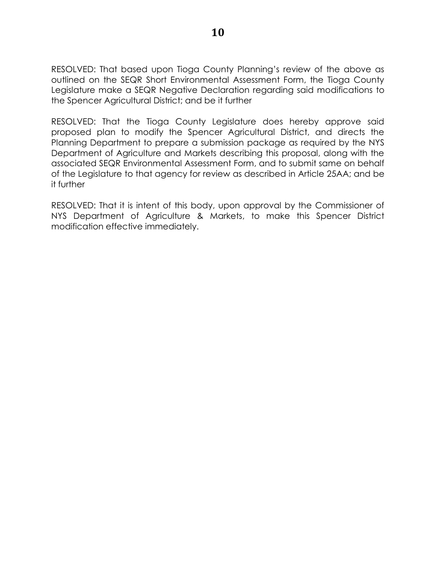RESOLVED: That based upon Tioga County Planning's review of the above as outlined on the SEQR Short Environmental Assessment Form, the Tioga County Legislature make a SEQR Negative Declaration regarding said modifications to the Spencer Agricultural District; and be it further

RESOLVED: That the Tioga County Legislature does hereby approve said proposed plan to modify the Spencer Agricultural District, and directs the Planning Department to prepare a submission package as required by the NYS Department of Agriculture and Markets describing this proposal, along with the associated SEQR Environmental Assessment Form, and to submit same on behalf of the Legislature to that agency for review as described in Article 25AA; and be it further

RESOLVED: That it is intent of this body, upon approval by the Commissioner of NYS Department of Agriculture & Markets, to make this Spencer District modification effective immediately.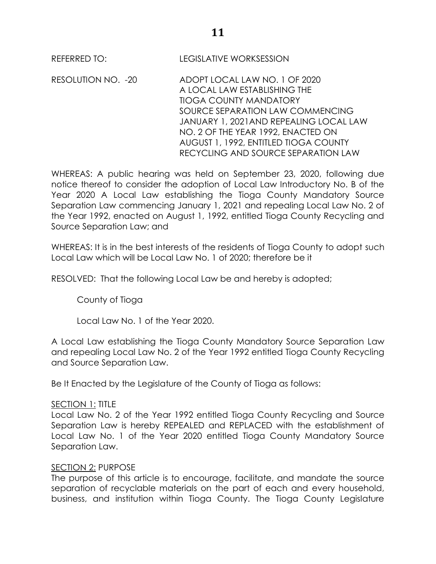REFERRED TO: LEGISLATIVE WORKSESSION

RESOLUTION NO. -20 ADOPT LOCAL LAW NO. 1 OF 2020 A LOCAL LAW ESTABLISHING THE TIOGA COUNTY MANDATORY SOURCE SEPARATION LAW COMMENCING JANUARY 1, 2021AND REPEALING LOCAL LAW NO. 2 OF THE YEAR 1992, ENACTED ON AUGUST 1, 1992, ENTITLED TIOGA COUNTY RECYCLING AND SOURCE SEPARATION LAW

WHEREAS: A public hearing was held on September 23, 2020, following due notice thereof to consider the adoption of Local Law Introductory No. B of the Year 2020 A Local Law establishing the Tioga County Mandatory Source Separation Law commencing January 1, 2021 and repealing Local Law No. 2 of the Year 1992, enacted on August 1, 1992, entitled Tioga County Recycling and Source Separation Law; and

WHEREAS: It is in the best interests of the residents of Tioga County to adopt such Local Law which will be Local Law No. 1 of 2020; therefore be it

RESOLVED: That the following Local Law be and hereby is adopted;

County of Tioga

Local Law No. 1 of the Year 2020.

A Local Law establishing the Tioga County Mandatory Source Separation Law and repealing Local Law No. 2 of the Year 1992 entitled Tioga County Recycling and Source Separation Law.

Be It Enacted by the Legislature of the County of Tioga as follows:

## SECTION 1: TITLE

Local Law No. 2 of the Year 1992 entitled Tioga County Recycling and Source Separation Law is hereby REPEALED and REPLACED with the establishment of Local Law No. 1 of the Year 2020 entitled Tioga County Mandatory Source Separation Law.

## SECTION 2: PURPOSE

The purpose of this article is to encourage, facilitate, and mandate the source separation of recyclable materials on the part of each and every household, business, and institution within Tioga County. The Tioga County Legislature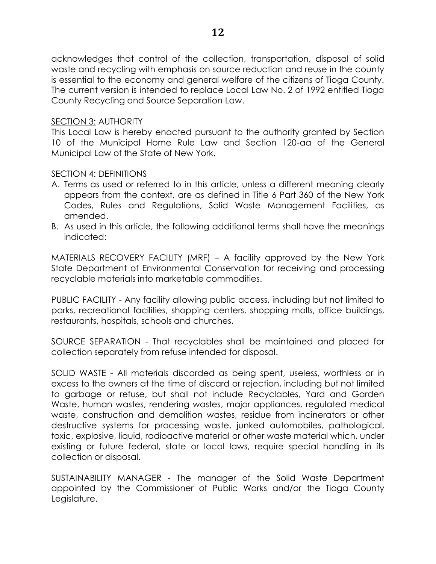acknowledges that control of the collection, transportation, disposal of solid waste and recycling with emphasis on source reduction and reuse in the county is essential to the economy and general welfare of the citizens of Tioga County. The current version is intended to replace Local Law No. 2 of 1992 entitled Tioga County Recycling and Source Separation Law.

# SECTION 3: AUTHORITY

This Local Law is hereby enacted pursuant to the authority granted by Section 10 of the Municipal Home Rule Law and Section 120-aa of the General Municipal Law of the State of New York.

# SECTION 4: DEFINITIONS

- A. Terms as used or referred to in this article, unless a different meaning clearly appears from the context, are as defined in Title 6 Part 360 of the New York Codes, Rules and Regulations, Solid Waste Management Facilities, as amended.
- B. As used in this article, the following additional terms shall have the meanings indicated:

MATERIALS RECOVERY FACILITY (MRF) – A facility approved by the New York State Department of Environmental Conservation for receiving and processing recyclable materials into marketable commodities.

PUBLIC FACILITY - Any facility allowing public access, including but not limited to parks, recreational facilities, shopping centers, shopping malls, office buildings, restaurants, hospitals, schools and churches.

SOURCE SEPARATION - That recyclables shall be maintained and placed for collection separately from refuse intended for disposal.

SOLID WASTE - All materials discarded as being spent, useless, worthless or in excess to the owners at the time of discard or rejection, including but not limited to garbage or refuse, but shall not include Recyclables, Yard and Garden Waste, human wastes, rendering wastes, major appliances, regulated medical waste, construction and demolition wastes, residue from incinerators or other destructive systems for processing waste, junked automobiles, pathological, toxic, explosive, liquid, radioactive material or other waste material which, under existing or future federal, state or local laws, require special handling in its collection or disposal.

SUSTAINABILITY MANAGER - The manager of the Solid Waste Department appointed by the Commissioner of Public Works and/or the Tioga County Legislature.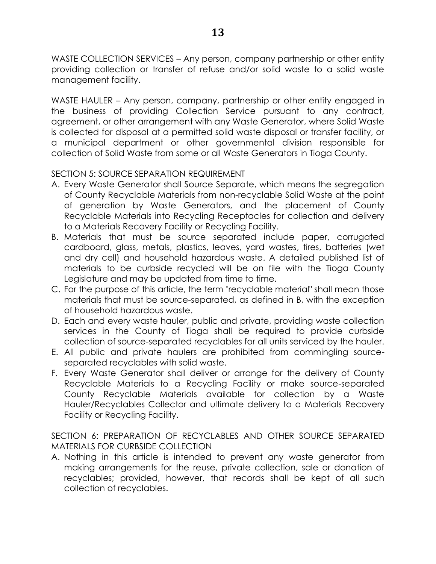WASTE COLLECTION SERVICES – Any person, company partnership or other entity providing collection or transfer of refuse and/or solid waste to a solid waste management facility.

WASTE HAULER – Any person, company, partnership or other entity engaged in the business of providing Collection Service pursuant to any contract, agreement, or other arrangement with any Waste Generator, where Solid Waste is collected for disposal at a permitted solid waste disposal or transfer facility, or a municipal department or other governmental division responsible for collection of Solid Waste from some or all Waste Generators in Tioga County.

# SECTION 5: SOURCE SEPARATION REQUIREMENT

- A. Every Waste Generator shall Source Separate, which means the segregation of County Recyclable Materials from non-recyclable Solid Waste at the point of generation by Waste Generators, and the placement of County Recyclable Materials into Recycling Receptacles for collection and delivery to a Materials Recovery Facility or Recycling Facility.
- B. Materials that must be source separated include paper, corrugated cardboard, glass, metals, plastics, leaves, yard wastes, tires, batteries (wet and dry cell) and household hazardous waste. A detailed published list of materials to be curbside recycled will be on file with the Tioga County Legislature and may be updated from time to time.
- C. For the purpose of this article, the term "recyclable material" shall mean those materials that must be source-separated, as defined in B, with the exception of household hazardous waste.
- D. Each and every waste hauler, public and private, providing waste collection services in the County of Tioga shall be required to provide curbside collection of source-separated recyclables for all units serviced by the hauler.
- E. All public and private haulers are prohibited from commingling sourceseparated recyclables with solid waste.
- F. Every Waste Generator shall deliver or arrange for the delivery of County Recyclable Materials to a Recycling Facility or make source-separated County Recyclable Materials available for collection by a Waste Hauler/Recyclables Collector and ultimate delivery to a Materials Recovery Facility or Recycling Facility.

SECTION 6: PREPARATION OF RECYCLABLES AND OTHER SOURCE SEPARATED MATERIALS FOR CURBSIDE COLLECTION

A. Nothing in this article is intended to prevent any waste generator from making arrangements for the reuse, private collection, sale or donation of recyclables; provided, however, that records shall be kept of all such collection of recyclables.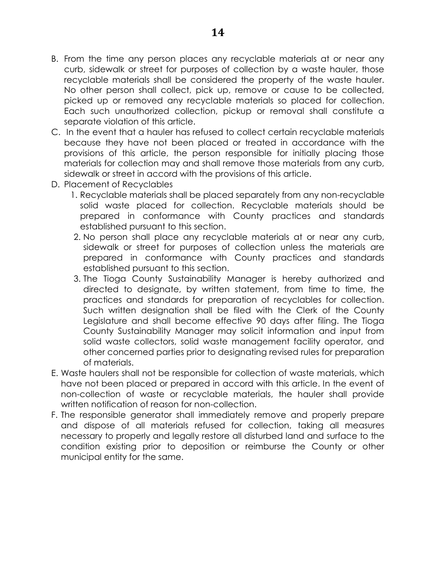- B. From the time any person places any recyclable materials at or near any curb, sidewalk or street for purposes of collection by a waste hauler, those recyclable materials shall be considered the property of the waste hauler. No other person shall collect, pick up, remove or cause to be collected, picked up or removed any recyclable materials so placed for collection. Each such unauthorized collection, pickup or removal shall constitute a separate violation of this article.
- C. In the event that a hauler has refused to collect certain recyclable materials because they have not been placed or treated in accordance with the provisions of this article, the person responsible for initially placing those materials for collection may and shall remove those materials from any curb, sidewalk or street in accord with the provisions of this article.
- D. Placement of Recyclables
	- 1. Recyclable materials shall be placed separately from any non-recyclable solid waste placed for collection. Recyclable materials should be prepared in conformance with County practices and standards established pursuant to this section.
	- 2. No person shall place any recyclable materials at or near any curb, sidewalk or street for purposes of collection unless the materials are prepared in conformance with County practices and standards established pursuant to this section.
	- 3. The Tioga County Sustainability Manager is hereby authorized and directed to designate, by written statement, from time to time, the practices and standards for preparation of recyclables for collection. Such written designation shall be filed with the Clerk of the County Legislature and shall become effective 90 days after filing. The Tioga County Sustainability Manager may solicit information and input from solid waste collectors, solid waste management facility operator, and other concerned parties prior to designating revised rules for preparation of materials.
- E. Waste haulers shall not be responsible for collection of waste materials, which have not been placed or prepared in accord with this article. In the event of non-collection of waste or recyclable materials, the hauler shall provide written notification of reason for non-collection.
- F. The responsible generator shall immediately remove and properly prepare and dispose of all materials refused for collection, taking all measures necessary to properly and legally restore all disturbed land and surface to the condition existing prior to deposition or reimburse the County or other municipal entity for the same.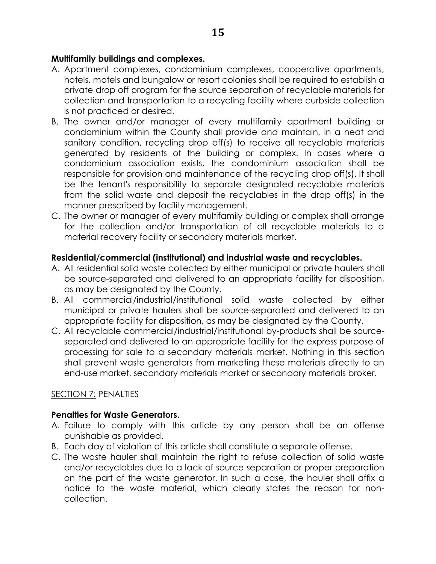# **Multifamily buildings and complexes.**

- A. Apartment complexes, condominium complexes, cooperative apartments, hotels, motels and bungalow or resort colonies shall be required to establish a private drop off program for the source separation of recyclable materials for collection and transportation to a recycling facility where curbside collection is not practiced or desired.
- B. The owner and/or manager of every multifamily apartment building or condominium within the County shall provide and maintain, in a neat and sanitary condition, recycling drop off(s) to receive all recyclable materials generated by residents of the building or complex. In cases where a condominium association exists, the condominium association shall be responsible for provision and maintenance of the recycling drop off(s). It shall be the tenant's responsibility to separate designated recyclable materials from the solid waste and deposit the recyclables in the drop off(s) in the manner prescribed by facility management.
- C. The owner or manager of every multifamily building or complex shall arrange for the collection and/or transportation of all recyclable materials to a material recovery facility or secondary materials market.

# **Residential/commercial (institutional) and industrial waste and recyclables.**

- A. All residential solid waste collected by either municipal or private haulers shall be source-separated and delivered to an appropriate facility for disposition, as may be designated by the County.
- B. All commercial/industrial/institutional solid waste collected by either municipal or private haulers shall be source-separated and delivered to an appropriate facility for disposition, as may be designated by the County.
- C. All recyclable commercial/industrial/institutional by-products shall be sourceseparated and delivered to an appropriate facility for the express purpose of processing for sale to a secondary materials market. Nothing in this section shall prevent waste generators from marketing these materials directly to an end-use market, secondary materials market or secondary materials broker.

# SECTION 7: PENALTIES

# **Penalties for Waste Generators.**

- A. Failure to comply with this article by any person shall be an offense punishable as provided.
- B. Each day of violation of this article shall constitute a separate offense.
- C. The waste hauler shall maintain the right to refuse collection of solid waste and/or recyclables due to a lack of source separation or proper preparation on the part of the waste generator. In such a case, the hauler shall affix a notice to the waste material, which clearly states the reason for noncollection.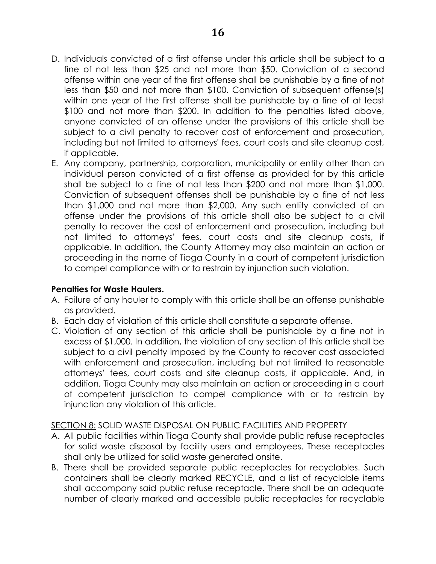- D. Individuals convicted of a first offense under this article shall be subject to a fine of not less than \$25 and not more than \$50. Conviction of a second offense within one year of the first offense shall be punishable by a fine of not less than \$50 and not more than \$100. Conviction of subsequent offense(s) within one year of the first offense shall be punishable by a fine of at least \$100 and not more than \$200. In addition to the penalties listed above, anyone convicted of an offense under the provisions of this article shall be subject to a civil penalty to recover cost of enforcement and prosecution, including but not limited to attorneys' fees, court costs and site cleanup cost, if applicable.
- E. Any company, partnership, corporation, municipality or entity other than an individual person convicted of a first offense as provided for by this article shall be subject to a fine of not less than \$200 and not more than \$1,000. Conviction of subsequent offenses shall be punishable by a fine of not less than \$1,000 and not more than \$2,000. Any such entity convicted of an offense under the provisions of this article shall also be subject to a civil penalty to recover the cost of enforcement and prosecution, including but not limited to attorneys' fees, court costs and site cleanup costs, if applicable. In addition, the County Attorney may also maintain an action or proceeding in the name of Tioga County in a court of competent jurisdiction to compel compliance with or to restrain by injunction such violation.

# **Penalties for Waste Haulers.**

- A. Failure of any hauler to comply with this article shall be an offense punishable as provided.
- B. Each day of violation of this article shall constitute a separate offense.
- C. Violation of any section of this article shall be punishable by a fine not in excess of \$1,000. In addition, the violation of any section of this article shall be subject to a civil penalty imposed by the County to recover cost associated with enforcement and prosecution, including but not limited to reasonable attorneys' fees, court costs and site cleanup costs, if applicable. And, in addition, Tioga County may also maintain an action or proceeding in a court of competent jurisdiction to compel compliance with or to restrain by injunction any violation of this article.

# SECTION 8: SOLID WASTE DISPOSAL ON PUBLIC FACILITIES AND PROPERTY

- A. All public facilities within Tioga County shall provide public refuse receptacles for solid waste disposal by facility users and employees. These receptacles shall only be utilized for solid waste generated onsite.
- B. There shall be provided separate public receptacles for recyclables. Such containers shall be clearly marked RECYCLE, and a list of recyclable items shall accompany said public refuse receptacle. There shall be an adequate number of clearly marked and accessible public receptacles for recyclable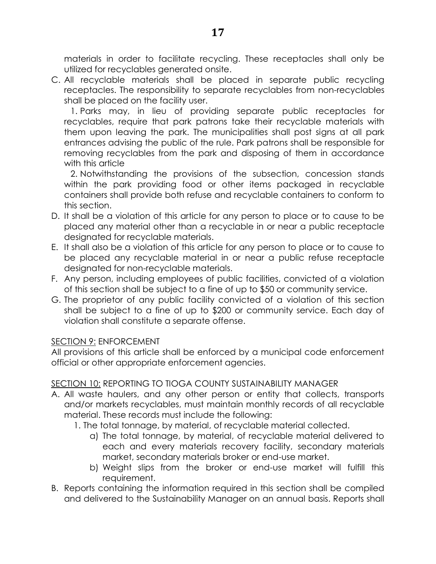materials in order to facilitate recycling. These receptacles shall only be utilized for recyclables generated onsite.

C. All recyclable materials shall be placed in separate public recycling receptacles. The responsibility to separate recyclables from non-recyclables shall be placed on the facility user.

1. Parks may, in lieu of providing separate public receptacles for recyclables, require that park patrons take their recyclable materials with them upon leaving the park. The municipalities shall post signs at all park entrances advising the public of the rule. Park patrons shall be responsible for removing recyclables from the park and disposing of them in accordance with this article

2. Notwithstanding the provisions of the subsection, concession stands within the park providing food or other items packaged in recyclable containers shall provide both refuse and recyclable containers to conform to this section.

- D. It shall be a violation of this article for any person to place or to cause to be placed any material other than a recyclable in or near a public receptacle designated for recyclable materials.
- E. It shall also be a violation of this article for any person to place or to cause to be placed any recyclable material in or near a public refuse receptacle designated for non-recyclable materials.
- F. Any person, including employees of public facilities, convicted of a violation of this section shall be subject to a fine of up to \$50 or community service.
- G. The proprietor of any public facility convicted of a violation of this section shall be subject to a fine of up to \$200 or community service. Each day of violation shall constitute a separate offense.

# SECTION 9: ENFORCEMENT

All provisions of this article shall be enforced by a municipal code enforcement official or other appropriate enforcement agencies.

# SECTION 10: REPORTING TO TIOGA COUNTY SUSTAINABILITY MANAGER

- A. All waste haulers, and any other person or entity that collects, transports and/or markets recyclables, must maintain monthly records of all recyclable material. These records must include the following:
	- 1. The total tonnage, by material, of recyclable material collected.
		- a) The total tonnage, by material, of recyclable material delivered to each and every materials recovery facility, secondary materials market, secondary materials broker or end-use market.
		- b) Weight slips from the broker or end-use market will fulfill this requirement.
- B. Reports containing the information required in this section shall be compiled and delivered to the Sustainability Manager on an annual basis. Reports shall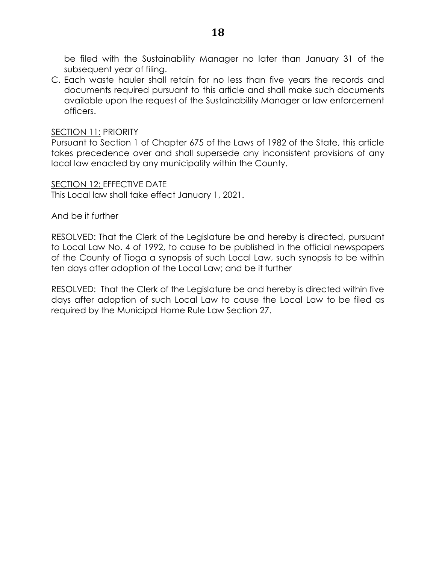be filed with the Sustainability Manager no later than January 31 of the subsequent year of filing.

C. Each waste hauler shall retain for no less than five years the records and documents required pursuant to this article and shall make such documents available upon the request of the Sustainability Manager or law enforcement officers.

#### **SECTION 11: PRIORITY**

Pursuant to Section 1 of Chapter 675 of the Laws of 1982 of the State, this article takes precedence over and shall supersede any inconsistent provisions of any local law enacted by any municipality within the County.

SECTION 12: EFFECTIVE DATE

This Local law shall take effect January 1, 2021.

And be it further

RESOLVED: That the Clerk of the Legislature be and hereby is directed, pursuant to Local Law No. 4 of 1992, to cause to be published in the official newspapers of the County of Tioga a synopsis of such Local Law, such synopsis to be within ten days after adoption of the Local Law; and be it further

RESOLVED: That the Clerk of the Legislature be and hereby is directed within five days after adoption of such Local Law to cause the Local Law to be filed as required by the Municipal Home Rule Law Section 27.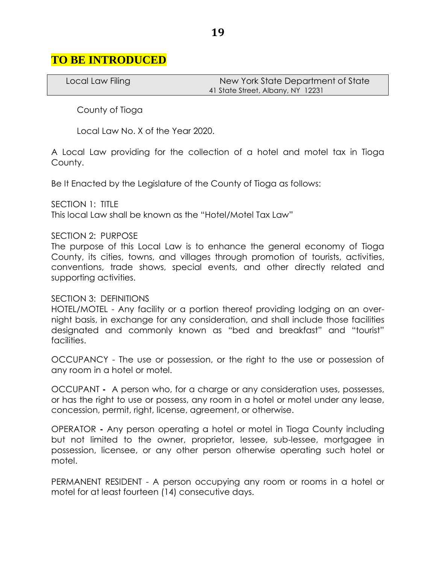# **TO BE INTRODUCED**

Local Law Filing New York State Department of State 41 State Street, Albany, NY 12231

County of Tioga

Local Law No. X of the Year 2020.

A Local Law providing for the collection of a hotel and motel tax in Tioga County.

Be It Enacted by the Legislature of the County of Tioga as follows:

SECTION 1: TITLE

This local Law shall be known as the "Hotel/Motel Tax Law"

#### SECTION 2: PURPOSE

The purpose of this Local Law is to enhance the general economy of Tioga County, its cities, towns, and villages through promotion of tourists, activities, conventions, trade shows, special events, and other directly related and supporting activities.

#### SECTION 3: DEFINITIONS

HOTEL/MOTEL - Any facility or a portion thereof providing lodging on an overnight basis, in exchange for any consideration, and shall include those facilities designated and commonly known as "bed and breakfast" and "tourist" facilities.

OCCUPANCY - The use or possession, or the right to the use or possession of any room in a hotel or motel.

OCCUPANT **-** A person who, for a charge or any consideration uses, possesses, or has the right to use or possess, any room in a hotel or motel under any lease, concession, permit, right, license, agreement, or otherwise.

OPERATOR **-** Any person operating a hotel or motel in Tioga County including but not limited to the owner, proprietor, lessee, sub-lessee, mortgagee in possession, licensee, or any other person otherwise operating such hotel or motel.

PERMANENT RESIDENT - A person occupying any room or rooms in a hotel or motel for at least fourteen (14) consecutive days.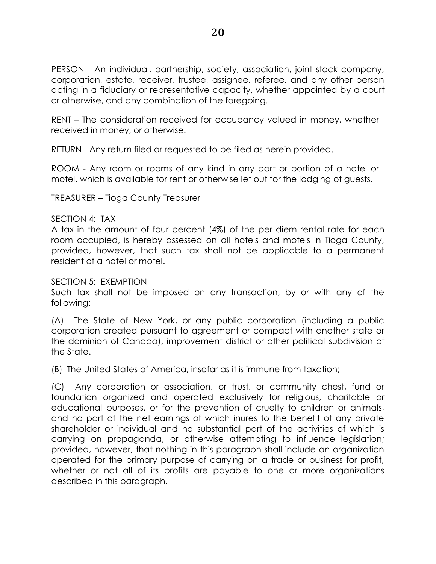PERSON - An individual, partnership, society, association, joint stock company, corporation, estate, receiver, trustee, assignee, referee, and any other person acting in a fiduciary or representative capacity, whether appointed by a court or otherwise, and any combination of the foregoing.

RENT – The consideration received for occupancy valued in money, whether received in money, or otherwise.

RETURN - Any return filed or requested to be filed as herein provided.

ROOM - Any room or rooms of any kind in any part or portion of a hotel or motel, which is available for rent or otherwise let out for the lodging of guests.

TREASURER – Tioga County Treasurer

## SECTION 4: TAX

A tax in the amount of four percent (4%) of the per diem rental rate for each room occupied, is hereby assessed on all hotels and motels in Tioga County, provided, however, that such tax shall not be applicable to a permanent resident of a hotel or motel.

## SECTION 5: EXEMPTION

Such tax shall not be imposed on any transaction, by or with any of the following:

(A) The State of New York, or any public corporation (including a public corporation created pursuant to agreement or compact with another state or the dominion of Canada), improvement district or other political subdivision of the State.

(B) The United States of America, insofar as it is immune from taxation;

(C) Any corporation or association, or trust, or community chest, fund or foundation organized and operated exclusively for religious, charitable or educational purposes, or for the prevention of cruelty to children or animals, and no part of the net earnings of which inures to the benefit of any private shareholder or individual and no substantial part of the activities of which is carrying on propaganda, or otherwise attempting to influence legislation; provided, however, that nothing in this paragraph shall include an organization operated for the primary purpose of carrying on a trade or business for profit, whether or not all of its profits are payable to one or more organizations described in this paragraph.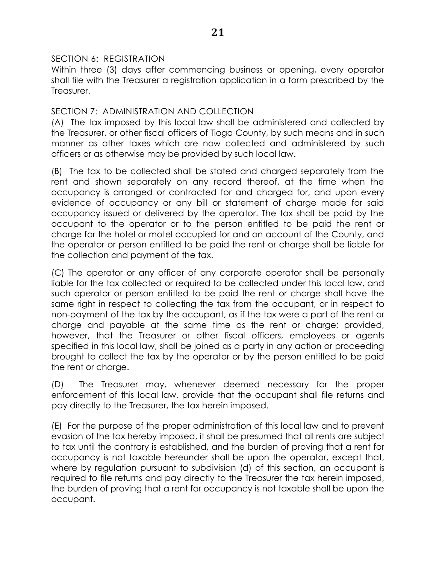# SECTION 6: REGISTRATION

Within three (3) days after commencing business or opening, every operator shall file with the Treasurer a registration application in a form prescribed by the Treasurer.

# SECTION 7: ADMINISTRATION AND COLLECTION

(A) The tax imposed by this local law shall be administered and collected by the Treasurer, or other fiscal officers of Tioga County, by such means and in such manner as other taxes which are now collected and administered by such officers or as otherwise may be provided by such local law.

(B) The tax to be collected shall be stated and charged separately from the rent and shown separately on any record thereof, at the time when the occupancy is arranged or contracted for and charged for, and upon every evidence of occupancy or any bill or statement of charge made for said occupancy issued or delivered by the operator. The tax shall be paid by the occupant to the operator or to the person entitled to be paid the rent or charge for the hotel or motel occupied for and on account of the County, and the operator or person entitled to be paid the rent or charge shall be liable for the collection and payment of the tax.

(C) The operator or any officer of any corporate operator shall be personally liable for the tax collected or required to be collected under this local law, and such operator or person entitled to be paid the rent or charge shall have the same right in respect to collecting the tax from the occupant, or in respect to non-payment of the tax by the occupant, as if the tax were a part of the rent or charge and payable at the same time as the rent or charge; provided, however, that the Treasurer or other fiscal officers, employees or agents specified in this local law, shall be joined as a party in any action or proceeding brought to collect the tax by the operator or by the person entitled to be paid the rent or charge.

(D) The Treasurer may, whenever deemed necessary for the proper enforcement of this local law, provide that the occupant shall file returns and pay directly to the Treasurer, the tax herein imposed.

(E) For the purpose of the proper administration of this local law and to prevent evasion of the tax hereby imposed, it shall be presumed that all rents are subject to tax until the contrary is established, and the burden of proving that a rent for occupancy is not taxable hereunder shall be upon the operator, except that, where by regulation pursuant to subdivision (d) of this section, an occupant is required to file returns and pay directly to the Treasurer the tax herein imposed, the burden of proving that a rent for occupancy is not taxable shall be upon the occupant.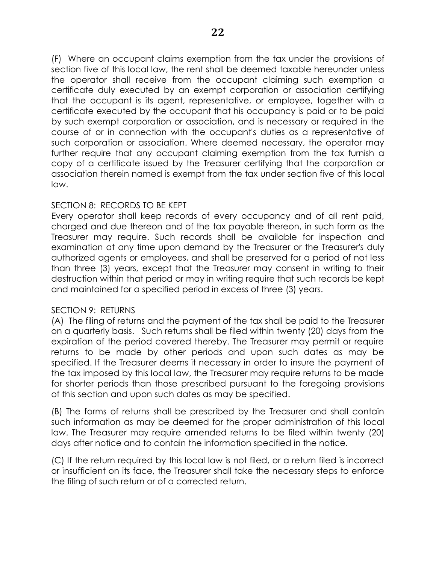(F) Where an occupant claims exemption from the tax under the provisions of section five of this local law, the rent shall be deemed taxable hereunder unless the operator shall receive from the occupant claiming such exemption a certificate duly executed by an exempt corporation or association certifying that the occupant is its agent, representative, or employee, together with a certificate executed by the occupant that his occupancy is paid or to be paid by such exempt corporation or association, and is necessary or required in the course of or in connection with the occupant's duties as a representative of such corporation or association. Where deemed necessary, the operator may further require that any occupant claiming exemption from the tax furnish a copy of a certificate issued by the Treasurer certifying that the corporation or association therein named is exempt from the tax under section five of this local law.

# SECTION 8: RECORDS TO BE KEPT

Every operator shall keep records of every occupancy and of all rent paid, charged and due thereon and of the tax payable thereon, in such form as the Treasurer may require. Such records shall be available for inspection and examination at any time upon demand by the Treasurer or the Treasurer's duly authorized agents or employees, and shall be preserved for a period of not less than three (3) years, except that the Treasurer may consent in writing to their destruction within that period or may in writing require that such records be kept and maintained for a specified period in excess of three (3) years.

## SECTION 9: RETURNS

(A) The filing of returns and the payment of the tax shall be paid to the Treasurer on a quarterly basis. Such returns shall be filed within twenty (20) days from the expiration of the period covered thereby. The Treasurer may permit or require returns to be made by other periods and upon such dates as may be specified. If the Treasurer deems it necessary in order to insure the payment of the tax imposed by this local law, the Treasurer may require returns to be made for shorter periods than those prescribed pursuant to the foregoing provisions of this section and upon such dates as may be specified.

(B) The forms of returns shall be prescribed by the Treasurer and shall contain such information as may be deemed for the proper administration of this local law. The Treasurer may require amended returns to be filed within twenty (20) days after notice and to contain the information specified in the notice.

(C) If the return required by this local law is not filed, or a return filed is incorrect or insufficient on its face, the Treasurer shall take the necessary steps to enforce the filing of such return or of a corrected return.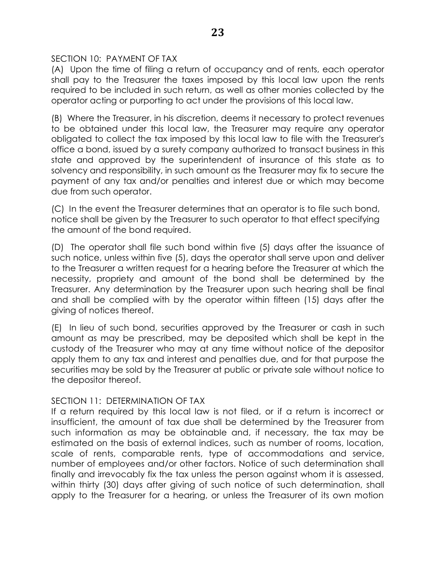# SECTION 10: PAYMENT OF TAX

(A) Upon the time of filing a return of occupancy and of rents, each operator shall pay to the Treasurer the taxes imposed by this local law upon the rents required to be included in such return, as well as other monies collected by the operator acting or purporting to act under the provisions of this local law.

(B) Where the Treasurer, in his discretion, deems it necessary to protect revenues to be obtained under this local law, the Treasurer may require any operator obligated to collect the tax imposed by this local law to file with the Treasurer's office a bond, issued by a surety company authorized to transact business in this state and approved by the superintendent of insurance of this state as to solvency and responsibility, in such amount as the Treasurer may fix to secure the payment of any tax and/or penalties and interest due or which may become due from such operator.

(C) In the event the Treasurer determines that an operator is to file such bond, notice shall be given by the Treasurer to such operator to that effect specifying the amount of the bond required.

(D) The operator shall file such bond within five (5) days after the issuance of such notice, unless within five (5), days the operator shall serve upon and deliver to the Treasurer a written request for a hearing before the Treasurer at which the necessity, propriety and amount of the bond shall be determined by the Treasurer. Any determination by the Treasurer upon such hearing shall be final and shall be complied with by the operator within fifteen (15) days after the giving of notices thereof.

(E) In lieu of such bond, securities approved by the Treasurer or cash in such amount as may be prescribed, may be deposited which shall be kept in the custody of the Treasurer who may at any time without notice of the depositor apply them to any tax and interest and penalties due, and for that purpose the securities may be sold by the Treasurer at public or private sale without notice to the depositor thereof.

## SECTION 11: DETERMINATION OF TAX

If a return required by this local law is not filed, or if a return is incorrect or insufficient, the amount of tax due shall be determined by the Treasurer from such information as may be obtainable and, if necessary, the tax may be estimated on the basis of external indices, such as number of rooms, location, scale of rents, comparable rents, type of accommodations and service, number of employees and/or other factors. Notice of such determination shall finally and irrevocably fix the tax unless the person against whom it is assessed, within thirty (30) days after giving of such notice of such determination, shall apply to the Treasurer for a hearing, or unless the Treasurer of its own motion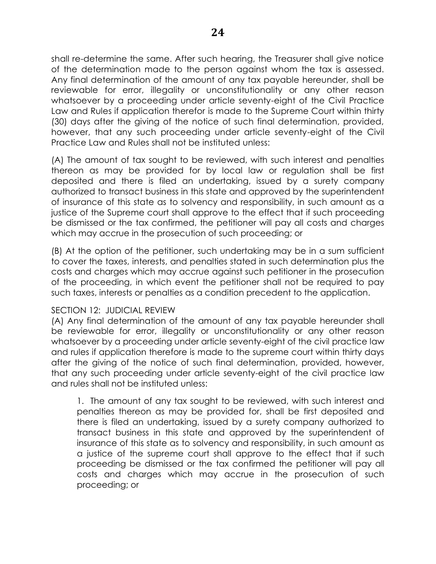shall re-determine the same. After such hearing, the Treasurer shall give notice of the determination made to the person against whom the tax is assessed. Any final determination of the amount of any tax payable hereunder, shall be reviewable for error, illegality or unconstitutionality or any other reason whatsoever by a proceeding under article seventy-eight of the Civil Practice Law and Rules if application therefor is made to the Supreme Court within thirty (30) days after the giving of the notice of such final determination, provided, however, that any such proceeding under article seventy-eight of the Civil Practice Law and Rules shall not be instituted unless:

(A) The amount of tax sought to be reviewed, with such interest and penalties thereon as may be provided for by local law or regulation shall be first deposited and there is filed an undertaking, issued by a surety company authorized to transact business in this state and approved by the superintendent of insurance of this state as to solvency and responsibility, in such amount as a justice of the Supreme court shall approve to the effect that if such proceeding be dismissed or the tax confirmed, the petitioner will pay all costs and charges which may accrue in the prosecution of such proceeding; or

(B) At the option of the petitioner, such undertaking may be in a sum sufficient to cover the taxes, interests, and penalties stated in such determination plus the costs and charges which may accrue against such petitioner in the prosecution of the proceeding, in which event the petitioner shall not be required to pay such taxes, interests or penalties as a condition precedent to the application.

## SECTION 12: JUDICIAL REVIEW

(A) Any final determination of the amount of any tax payable hereunder shall be reviewable for error, illegality or unconstitutionality or any other reason whatsoever by a proceeding under article seventy-eight of the civil practice law and rules if application therefore is made to the supreme court within thirty days after the giving of the notice of such final determination, provided, however, that any such proceeding under article seventy-eight of the civil practice law and rules shall not be instituted unless:

1. The amount of any tax sought to be reviewed, with such interest and penalties thereon as may be provided for, shall be first deposited and there is filed an undertaking, issued by a surety company authorized to transact business in this state and approved by the superintendent of insurance of this state as to solvency and responsibility, in such amount as a justice of the supreme court shall approve to the effect that if such proceeding be dismissed or the tax confirmed the petitioner will pay all costs and charges which may accrue in the prosecution of such proceeding; or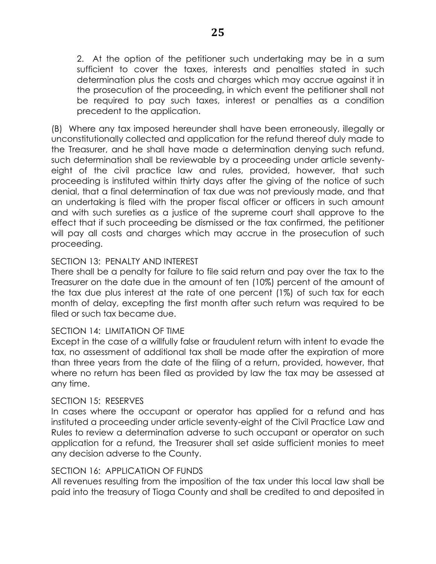2. At the option of the petitioner such undertaking may be in a sum sufficient to cover the taxes, interests and penalties stated in such determination plus the costs and charges which may accrue against it in the prosecution of the proceeding, in which event the petitioner shall not be required to pay such taxes, interest or penalties as a condition precedent to the application.

(B) Where any tax imposed hereunder shall have been erroneously, illegally or unconstitutionally collected and application for the refund thereof duly made to the Treasurer, and he shall have made a determination denying such refund, such determination shall be reviewable by a proceeding under article seventyeight of the civil practice law and rules, provided, however, that such proceeding is instituted within thirty days after the giving of the notice of such denial, that a final determination of tax due was not previously made, and that an undertaking is filed with the proper fiscal officer or officers in such amount and with such sureties as a justice of the supreme court shall approve to the effect that if such proceeding be dismissed or the tax confirmed, the petitioner will pay all costs and charges which may accrue in the prosecution of such proceeding.

# SECTION 13: PENALTY AND INTEREST

There shall be a penalty for failure to file said return and pay over the tax to the Treasurer on the date due in the amount of ten (10%) percent of the amount of the tax due plus interest at the rate of one percent (1%) of such tax for each month of delay, excepting the first month after such return was required to be filed or such tax became due.

## SECTION 14: LIMITATION OF TIME

Except in the case of a willfully false or fraudulent return with intent to evade the tax, no assessment of additional tax shall be made after the expiration of more than three years from the date of the filing of a return, provided, however, that where no return has been filed as provided by law the tax may be assessed at any time.

## SECTION 15: RESERVES

In cases where the occupant or operator has applied for a refund and has instituted a proceeding under article seventy-eight of the Civil Practice Law and Rules to review a determination adverse to such occupant or operator on such application for a refund, the Treasurer shall set aside sufficient monies to meet any decision adverse to the County.

## SECTION 16: APPLICATION OF FUNDS

All revenues resulting from the imposition of the tax under this local law shall be paid into the treasury of Tioga County and shall be credited to and deposited in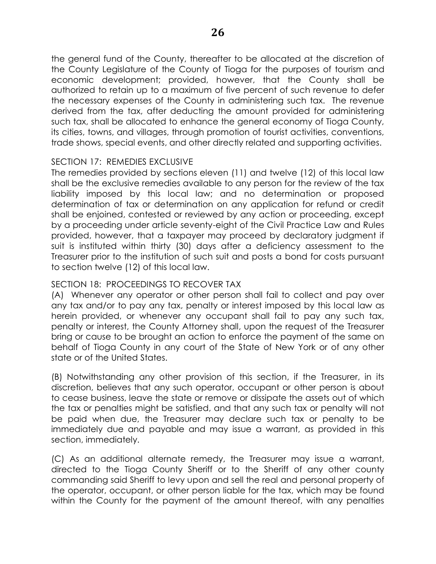the general fund of the County, thereafter to be allocated at the discretion of the County Legislature of the County of Tioga for the purposes of tourism and economic development; provided, however, that the County shall be authorized to retain up to a maximum of five percent of such revenue to defer the necessary expenses of the County in administering such tax. The revenue derived from the tax, after deducting the amount provided for administering such tax, shall be allocated to enhance the general economy of Tioga County, its cities, towns, and villages, through promotion of tourist activities, conventions, trade shows, special events, and other directly related and supporting activities.

# SECTION 17: REMEDIES EXCLUSIVE

The remedies provided by sections eleven (11) and twelve (12) of this local law shall be the exclusive remedies available to any person for the review of the tax liability imposed by this local law; and no determination or proposed determination of tax or determination on any application for refund or credit shall be enjoined, contested or reviewed by any action or proceeding, except by a proceeding under article seventy-eight of the Civil Practice Law and Rules provided, however, that a taxpayer may proceed by declaratory judgment if suit is instituted within thirty (30) days after a deficiency assessment to the Treasurer prior to the institution of such suit and posts a bond for costs pursuant to section twelve (12) of this local law.

# SECTION 18: PROCEEDINGS TO RECOVER TAX

(A) Whenever any operator or other person shall fail to collect and pay over any tax and/or to pay any tax, penalty or interest imposed by this local law as herein provided, or whenever any occupant shall fail to pay any such tax, penalty or interest, the County Attorney shall, upon the request of the Treasurer bring or cause to be brought an action to enforce the payment of the same on behalf of Tioga County in any court of the State of New York or of any other state or of the United States.

(B) Notwithstanding any other provision of this section, if the Treasurer, in its discretion, believes that any such operator, occupant or other person is about to cease business, leave the state or remove or dissipate the assets out of which the tax or penalties might be satisfied, and that any such tax or penalty will not be paid when due, the Treasurer may declare such tax or penalty to be immediately due and payable and may issue a warrant, as provided in this section, immediately.

(C) As an additional alternate remedy, the Treasurer may issue a warrant, directed to the Tioga County Sheriff or to the Sheriff of any other county commanding said Sheriff to levy upon and sell the real and personal property of the operator, occupant, or other person liable for the tax, which may be found within the County for the payment of the amount thereof, with any penalties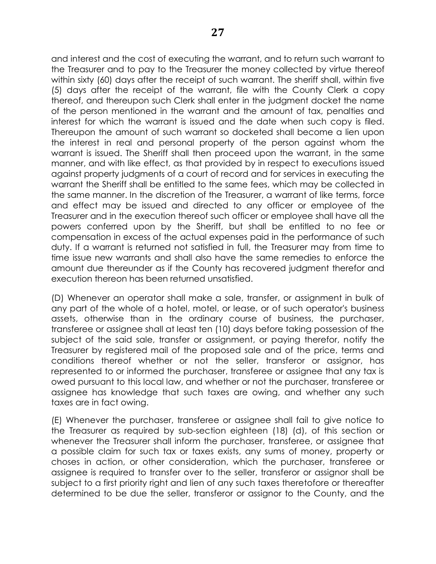and interest and the cost of executing the warrant, and to return such warrant to the Treasurer and to pay to the Treasurer the money collected by virtue thereof within sixty (60) days after the receipt of such warrant. The sheriff shall, within five (5) days after the receipt of the warrant, file with the County Clerk a copy thereof, and thereupon such Clerk shall enter in the judgment docket the name of the person mentioned in the warrant and the amount of tax, penalties and interest for which the warrant is issued and the date when such copy is filed. Thereupon the amount of such warrant so docketed shall become a lien upon the interest in real and personal property of the person against whom the warrant is issued. The Sheriff shall then proceed upon the warrant, in the same manner, and with like effect, as that provided by in respect to executions issued against property judgments of a court of record and for services in executing the warrant the Sheriff shall be entitled to the same fees, which may be collected in the same manner. In the discretion of the Treasurer, a warrant of like terms, force and effect may be issued and directed to any officer or employee of the Treasurer and in the execution thereof such officer or employee shall have all the powers conferred upon by the Sheriff, but shall be entitled to no fee or compensation in excess of the actual expenses paid in the performance of such duty. If a warrant is returned not satisfied in full, the Treasurer may from time to time issue new warrants and shall also have the same remedies to enforce the amount due thereunder as if the County has recovered judgment therefor and execution thereon has been returned unsatisfied.

(D) Whenever an operator shall make a sale, transfer, or assignment in bulk of any part of the whole of a hotel, motel, or lease, or of such operator's business assets, otherwise than in the ordinary course of business, the purchaser, transferee or assignee shall at least ten (10) days before taking possession of the subject of the said sale, transfer or assignment, or paying therefor, notify the Treasurer by registered mail of the proposed sale and of the price, terms and conditions thereof whether or not the seller, transferor or assignor, has represented to or informed the purchaser, transferee or assignee that any tax is owed pursuant to this local law, and whether or not the purchaser, transferee or assignee has knowledge that such taxes are owing, and whether any such taxes are in fact owing.

(E) Whenever the purchaser, transferee or assignee shall fail to give notice to the Treasurer as required by sub-section eighteen (18) (d), of this section or whenever the Treasurer shall inform the purchaser, transferee, or assignee that a possible claim for such tax or taxes exists, any sums of money, property or choses in action, or other consideration, which the purchaser, transferee or assignee is required to transfer over to the seller, transferor or assignor shall be subject to a first priority right and lien of any such taxes theretofore or thereafter determined to be due the seller, transferor or assignor to the County, and the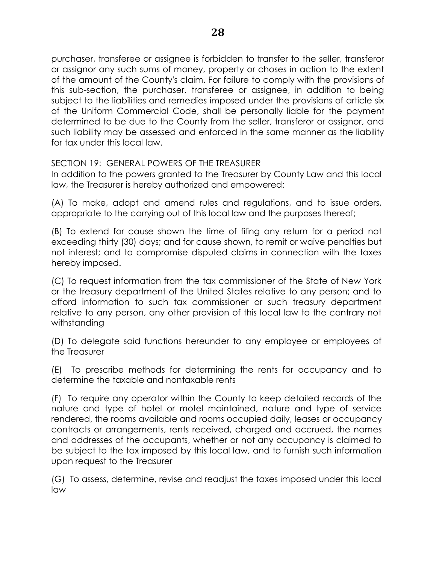purchaser, transferee or assignee is forbidden to transfer to the seller, transferor or assignor any such sums of money, property or choses in action to the extent of the amount of the County's claim. For failure to comply with the provisions of this sub-section, the purchaser, transferee or assignee, in addition to being subject to the liabilities and remedies imposed under the provisions of article six of the Uniform Commercial Code, shall be personally liable for the payment determined to be due to the County from the seller, transferor or assignor, and such liability may be assessed and enforced in the same manner as the liability for tax under this local law.

SECTION 19: GENERAL POWERS OF THE TREASURER

In addition to the powers granted to the Treasurer by County Law and this local law, the Treasurer is hereby authorized and empowered:

(A) To make, adopt and amend rules and regulations, and to issue orders, appropriate to the carrying out of this local law and the purposes thereof;

(B) To extend for cause shown the time of filing any return for a period not exceeding thirty (30) days; and for cause shown, to remit or waive penalties but not interest; and to compromise disputed claims in connection with the taxes hereby imposed.

(C) To request information from the tax commissioner of the State of New York or the treasury department of the United States relative to any person; and to afford information to such tax commissioner or such treasury department relative to any person, any other provision of this local law to the contrary not withstanding

(D) To delegate said functions hereunder to any employee or employees of the Treasurer

(E) To prescribe methods for determining the rents for occupancy and to determine the taxable and nontaxable rents

(F) To require any operator within the County to keep detailed records of the nature and type of hotel or motel maintained, nature and type of service rendered, the rooms available and rooms occupied daily, leases or occupancy contracts or arrangements, rents received, charged and accrued, the names and addresses of the occupants, whether or not any occupancy is claimed to be subject to the tax imposed by this local law, and to furnish such information upon request to the Treasurer

(G) To assess, determine, revise and readjust the taxes imposed under this local law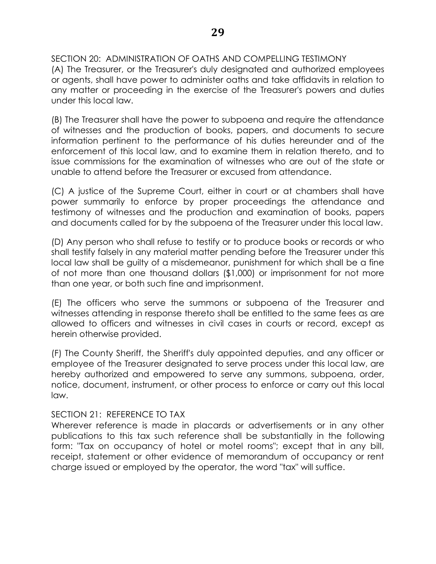SECTION 20: ADMINISTRATION OF OATHS AND COMPELLING TESTIMONY (A) The Treasurer, or the Treasurer's duly designated and authorized employees or agents, shall have power to administer oaths and take affidavits in relation to any matter or proceeding in the exercise of the Treasurer's powers and duties under this local law.

(B) The Treasurer shall have the power to subpoena and require the attendance of witnesses and the production of books, papers, and documents to secure information pertinent to the performance of his duties hereunder and of the enforcement of this local law, and to examine them in relation thereto, and to issue commissions for the examination of witnesses who are out of the state or unable to attend before the Treasurer or excused from attendance.

(C) A justice of the Supreme Court, either in court or at chambers shall have power summarily to enforce by proper proceedings the attendance and testimony of witnesses and the production and examination of books, papers and documents called for by the subpoena of the Treasurer under this local law.

(D) Any person who shall refuse to testify or to produce books or records or who shall testify falsely in any material matter pending before the Treasurer under this local law shall be guilty of a misdemeanor, punishment for which shall be a fine of not more than one thousand dollars (\$1,000) or imprisonment for not more than one year, or both such fine and imprisonment.

(E) The officers who serve the summons or subpoena of the Treasurer and witnesses attending in response thereto shall be entitled to the same fees as are allowed to officers and witnesses in civil cases in courts or record, except as herein otherwise provided.

(F) The County Sheriff, the Sheriff's duly appointed deputies, and any officer or employee of the Treasurer designated to serve process under this local law, are hereby authorized and empowered to serve any summons, subpoena, order, notice, document, instrument, or other process to enforce or carry out this local law.

# SECTION 21: REFERENCE TO TAX

Wherever reference is made in placards or advertisements or in any other publications to this tax such reference shall be substantially in the following form: "Tax on occupancy of hotel or motel rooms"; except that in any bill, receipt, statement or other evidence of memorandum of occupancy or rent charge issued or employed by the operator, the word "tax" will suffice.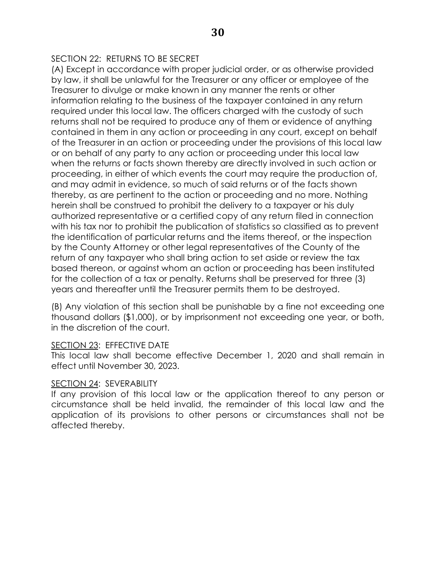# SECTION 22: RETURNS TO BE SECRET

(A) Except in accordance with proper judicial order, or as otherwise provided by law, it shall be unlawful for the Treasurer or any officer or employee of the Treasurer to divulge or make known in any manner the rents or other information relating to the business of the taxpayer contained in any return required under this local law. The officers charged with the custody of such returns shall not be required to produce any of them or evidence of anything contained in them in any action or proceeding in any court, except on behalf of the Treasurer in an action or proceeding under the provisions of this local law or on behalf of any party to any action or proceeding under this local law when the returns or facts shown thereby are directly involved in such action or proceeding, in either of which events the court may require the production of, and may admit in evidence, so much of said returns or of the facts shown thereby, as are pertinent to the action or proceeding and no more. Nothing herein shall be construed to prohibit the delivery to a taxpayer or his duly authorized representative or a certified copy of any return filed in connection with his tax nor to prohibit the publication of statistics so classified as to prevent the identification of particular returns and the items thereof, or the inspection by the County Attorney or other legal representatives of the County of the return of any taxpayer who shall bring action to set aside or review the tax based thereon, or against whom an action or proceeding has been instituted for the collection of a tax or penalty. Returns shall be preserved for three (3) years and thereafter until the Treasurer permits them to be destroyed.

(B) Any violation of this section shall be punishable by a fine not exceeding one thousand dollars (\$1,000), or by imprisonment not exceeding one year, or both, in the discretion of the court.

## SECTION 23: EFFECTIVE DATE

This local law shall become effective December 1, 2020 and shall remain in effect until November 30, 2023.

## SECTION 24: SEVERABILITY

If any provision of this local law or the application thereof to any person or circumstance shall be held invalid, the remainder of this local law and the application of its provisions to other persons or circumstances shall not be affected thereby.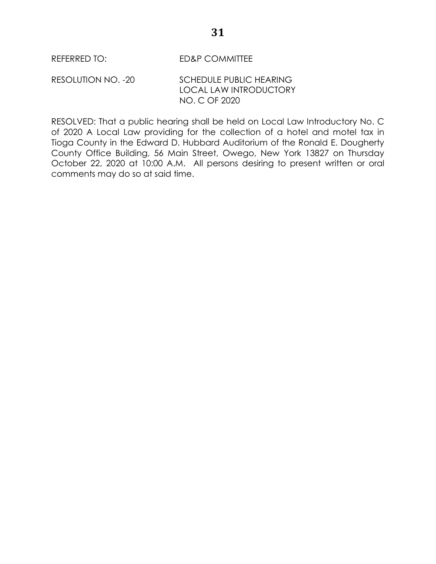RESOLUTION NO. -20 SCHEDULE PUBLIC HEARING LOCAL LAW INTRODUCTORY NO. C OF 2020

RESOLVED: That a public hearing shall be held on Local Law Introductory No. C of 2020 A Local Law providing for the collection of a hotel and motel tax in Tioga County in the Edward D. Hubbard Auditorium of the Ronald E. Dougherty County Office Building, 56 Main Street, Owego, New York 13827 on Thursday October 22, 2020 at 10:00 A.M. All persons desiring to present written or oral comments may do so at said time.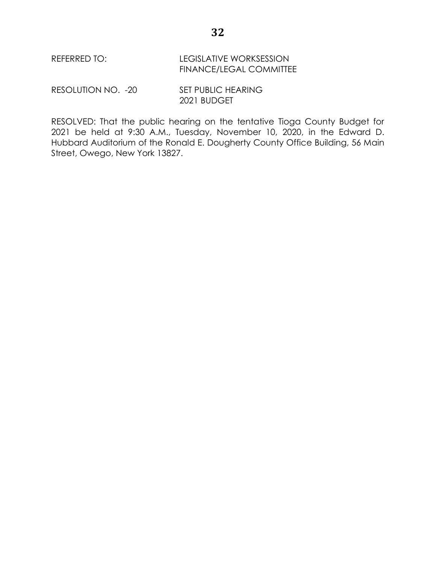REFERRED TO: LEGISLATIVE WORKSESSION FINANCE/LEGAL COMMITTEE

RESOLUTION NO. - 20 SET PUBLIC HEARING 2021 BUDGET

RESOLVED: That the public hearing on the tentative Tioga County Budget for 2021 be held at 9:30 A.M., Tuesday, November 10, 2020, in the Edward D. Hubbard Auditorium of the Ronald E. Dougherty County Office Building, 56 Main Street, Owego, New York 13827.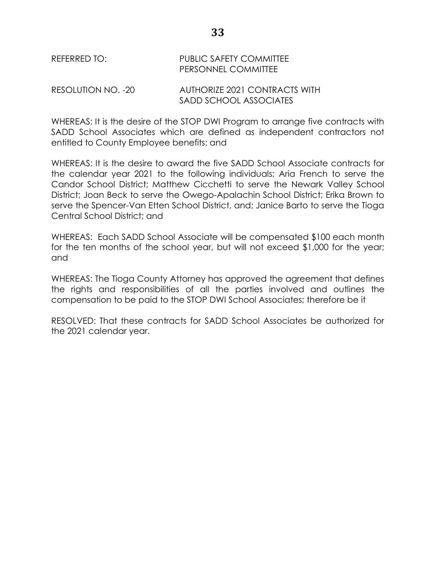RESOLUTION NO. -20 AUTHORIZE 2021 CONTRACTS WITH SADD SCHOOL ASSOCIATES

WHEREAS: It is the desire of the STOP DWI Program to arrange five contracts with SADD School Associates which are defined as independent contractors not entitled to County Employee benefits; and

WHEREAS: It is the desire to award the five SADD School Associate contracts for the calendar year 2021 to the following individuals; Aria French to serve the Candor School District; Matthew Cicchetti to serve the Newark Valley School District; Joan Beck to serve the Owego-Apalachin School District; Erika Brown to serve the Spencer-Van Etten School District, and; Janice Barto to serve the Tioga Central School District; and

WHEREAS: Each SADD School Associate will be compensated \$100 each month for the ten months of the school year, but will not exceed \$1,000 for the year; and

WHEREAS: The Tioga County Attorney has approved the agreement that defines the rights and responsibilities of all the parties involved and outlines the compensation to be paid to the STOP DWI School Associates; therefore be it

RESOLVED: That these contracts for SADD School Associates be authorized for the 2021 calendar year.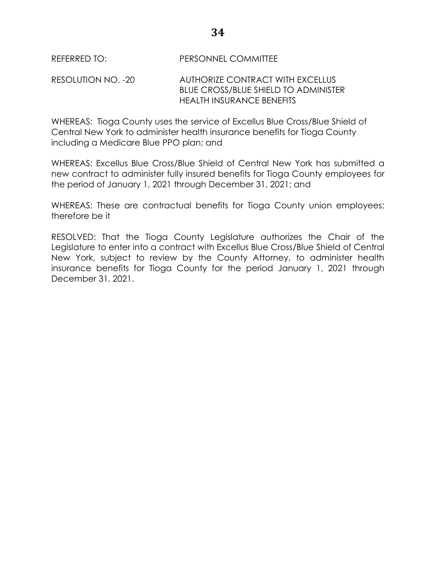RESOLUTION NO. -20 AUTHORIZE CONTRACT WITH EXCELLUS BLUE CROSS/BLUE SHIELD TO ADMINISTER HEALTH INSURANCE BENEFITS

WHEREAS: Tioga County uses the service of Excellus Blue Cross/Blue Shield of Central New York to administer health insurance benefits for Tioga County including a Medicare Blue PPO plan; and

WHEREAS: Excellus Blue Cross/Blue Shield of Central New York has submitted a new contract to administer fully insured benefits for Tioga County employees for the period of January 1, 2021 through December 31, 2021; and

WHEREAS: These are contractual benefits for Tioga County union employees; therefore be it

RESOLVED: That the Tioga County Legislature authorizes the Chair of the Legislature to enter into a contract with Excellus Blue Cross/Blue Shield of Central New York, subject to review by the County Attorney, to administer health insurance benefits for Tioga County for the period January 1, 2021 through December 31, 2021.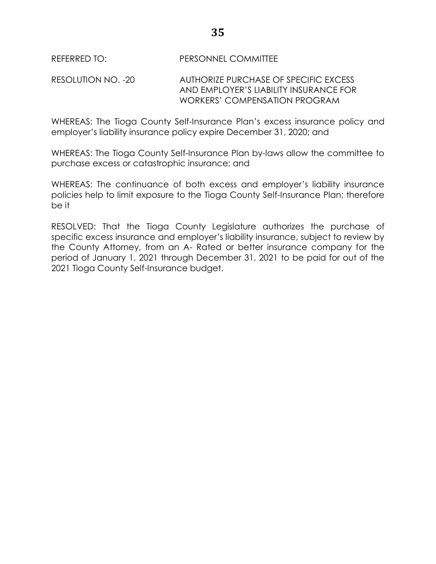RESOLUTION NO. -20 AUTHORIZE PURCHASE OF SPECIFIC EXCESS AND EMPLOYER'S LIABILITY INSURANCE FOR WORKERS' COMPENSATION PROGRAM

WHEREAS: The Tioga County Self-Insurance Plan's excess insurance policy and employer's liability insurance policy expire December 31, 2020; and

WHEREAS: The Tioga County Self-Insurance Plan by-laws allow the committee to purchase excess or catastrophic insurance; and

WHEREAS: The continuance of both excess and employer's liability insurance policies help to limit exposure to the Tioga County Self-Insurance Plan; therefore be it

RESOLVED: That the Tioga County Legislature authorizes the purchase of specific excess insurance and employer's liability insurance, subject to review by the County Attorney, from an A- Rated or better insurance company for the period of January 1, 2021 through December 31, 2021 to be paid for out of the 2021 Tioga County Self-Insurance budget.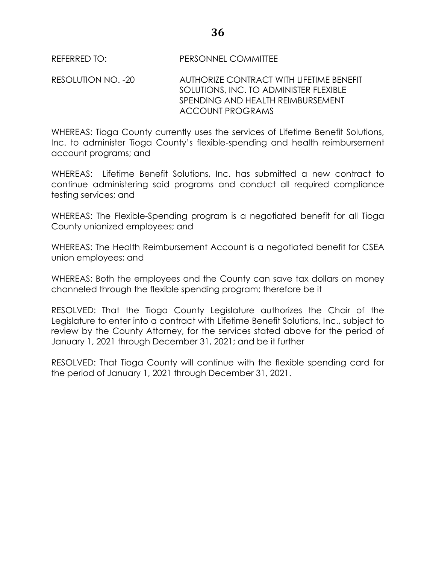RESOLUTION NO. -20 AUTHORIZE CONTRACT WITH LIFETIME BENEFIT SOLUTIONS, INC. TO ADMINISTER FLEXIBLE SPENDING AND HEALTH REIMBURSEMENT ACCOUNT PROGRAMS

WHEREAS: Tioga County currently uses the services of Lifetime Benefit Solutions, Inc. to administer Tioga County's flexible-spending and health reimbursement account programs; and

WHEREAS: Lifetime Benefit Solutions, Inc. has submitted a new contract to continue administering said programs and conduct all required compliance testing services; and

WHEREAS: The Flexible-Spending program is a negotiated benefit for all Tioga County unionized employees; and

WHEREAS: The Health Reimbursement Account is a negotiated benefit for CSEA union employees; and

WHEREAS: Both the employees and the County can save tax dollars on money channeled through the flexible spending program; therefore be it

RESOLVED: That the Tioga County Legislature authorizes the Chair of the Legislature to enter into a contract with Lifetime Benefit Solutions, Inc., subject to review by the County Attorney, for the services stated above for the period of January 1, 2021 through December 31, 2021; and be it further

RESOLVED: That Tioga County will continue with the flexible spending card for the period of January 1, 2021 through December 31, 2021.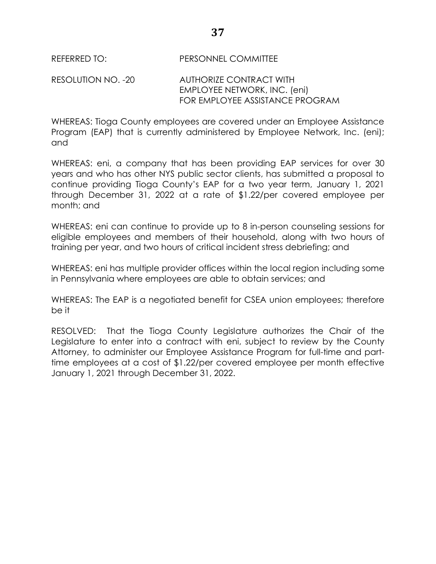RESOLUTION NO. -20 AUTHORIZE CONTRACT WITH EMPLOYEE NETWORK, INC. (eni) FOR EMPLOYEE ASSISTANCE PROGRAM

WHEREAS: Tioga County employees are covered under an Employee Assistance Program (EAP) that is currently administered by Employee Network, Inc. (eni); and

WHEREAS: eni, a company that has been providing EAP services for over 30 years and who has other NYS public sector clients, has submitted a proposal to continue providing Tioga County's EAP for a two year term, January 1, 2021 through December 31, 2022 at a rate of \$1.22/per covered employee per month; and

WHEREAS: eni can continue to provide up to 8 in-person counseling sessions for eligible employees and members of their household, along with two hours of training per year, and two hours of critical incident stress debriefing; and

WHEREAS: eni has multiple provider offices within the local region including some in Pennsylvania where employees are able to obtain services; and

WHEREAS: The EAP is a negotiated benefit for CSEA union employees; therefore be it

RESOLVED: That the Tioga County Legislature authorizes the Chair of the Legislature to enter into a contract with eni, subject to review by the County Attorney, to administer our Employee Assistance Program for full-time and parttime employees at a cost of \$1.22/per covered employee per month effective January 1, 2021 through December 31, 2022.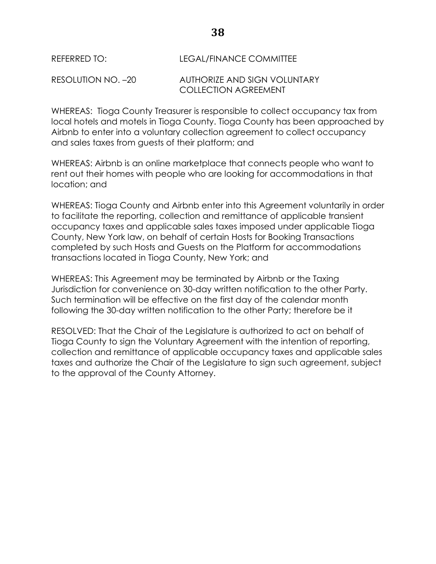| REFERRED TO:       | LEGAL/FINANCE COMMITTEE      |
|--------------------|------------------------------|
| RESOLUTION NO. –20 | AUTHORIZE AND SIGN VOLUNTARY |
|                    | <b>COLLECTION AGREEMENT</b>  |

WHEREAS: Tioga County Treasurer is responsible to collect occupancy tax from local hotels and motels in Tioga County. Tioga County has been approached by Airbnb to enter into a voluntary collection agreement to collect occupancy and sales taxes from guests of their platform; and

WHEREAS: Airbnb is an online marketplace that connects people who want to rent out their homes with people who are looking for accommodations in that location; and

WHEREAS: Tioga County and Airbnb enter into this Agreement voluntarily in order to facilitate the reporting, collection and remittance of applicable transient occupancy taxes and applicable sales taxes imposed under applicable Tioga County, New York law, on behalf of certain Hosts for Booking Transactions completed by such Hosts and Guests on the Platform for accommodations transactions located in Tioga County, New York; and

WHEREAS: This Agreement may be terminated by Airbnb or the Taxing Jurisdiction for convenience on 30-day written notification to the other Party. Such termination will be effective on the first day of the calendar month following the 30-day written notification to the other Party; therefore be it

RESOLVED: That the Chair of the Legislature is authorized to act on behalf of Tioga County to sign the Voluntary Agreement with the intention of reporting, collection and remittance of applicable occupancy taxes and applicable sales taxes and authorize the Chair of the Legislature to sign such agreement, subject to the approval of the County Attorney.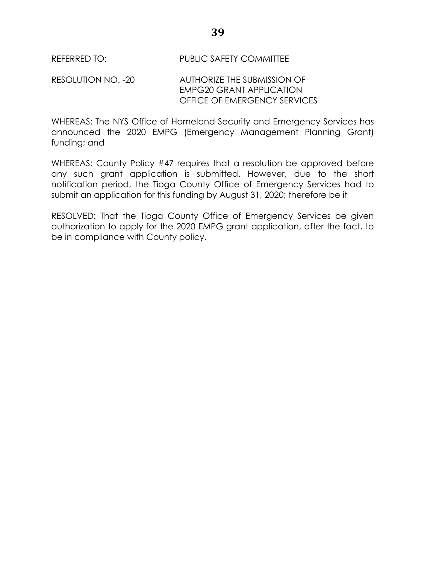REFERRED TO: PUBLIC SAFETY COMMITTEE

## RESOLUTION NO. -20 AUTHORIZE THE SUBMISSION OF EMPG20 GRANT APPLICATION OFFICE OF EMERGENCY SERVICES

WHEREAS: The NYS Office of Homeland Security and Emergency Services has announced the 2020 EMPG (Emergency Management Planning Grant) funding; and

WHEREAS: County Policy #47 requires that a resolution be approved before any such grant application is submitted. However, due to the short notification period, the Tioga County Office of Emergency Services had to submit an application for this funding by August 31, 2020; therefore be it

RESOLVED: That the Tioga County Office of Emergency Services be given authorization to apply for the 2020 EMPG grant application, after the fact, to be in compliance with County policy.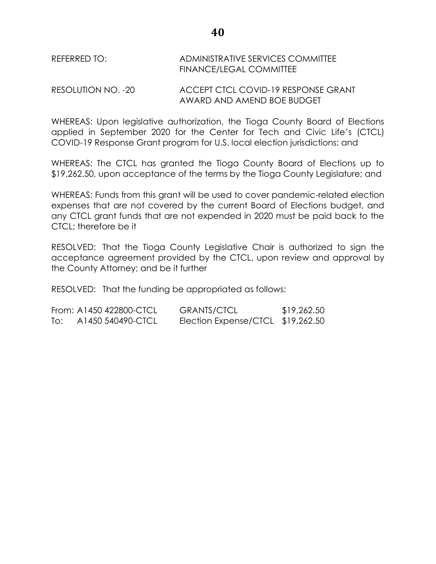REFERRED TO: ADMINISTRATIVE SERVICES COMMITTEE FINANCE/LEGAL COMMITTEE

RESOLUTION NO. -20 ACCEPT CTCL COVID-19 RESPONSE GRANT AWARD AND AMEND BOE BUDGET

WHEREAS: Upon legislative authorization, the Tioga County Board of Elections applied in September 2020 for the Center for Tech and Civic Life's (CTCL) COVID-19 Response Grant program for U.S. local election jurisdictions; and

WHEREAS: The CTCL has granted the Tioga County Board of Elections up to \$19,262.50, upon acceptance of the terms by the Tioga County Legislature; and

WHEREAS: Funds from this grant will be used to cover pandemic-related election expenses that are not covered by the current Board of Elections budget, and any CTCL grant funds that are not expended in 2020 must be paid back to the CTCL; therefore be it

RESOLVED: That the Tioga County Legislative Chair is authorized to sign the acceptance agreement provided by the CTCL, upon review and approval by the County Attorney; and be it further

RESOLVED: That the funding be appropriated as follows:

|     | From: A1450 422800-CTCL | <b>GRANTS/CTCL</b>                | \$19,262.50 |
|-----|-------------------------|-----------------------------------|-------------|
| To: | A1450 540490-CTCL       | Election Expense/CTCL \$19,262.50 |             |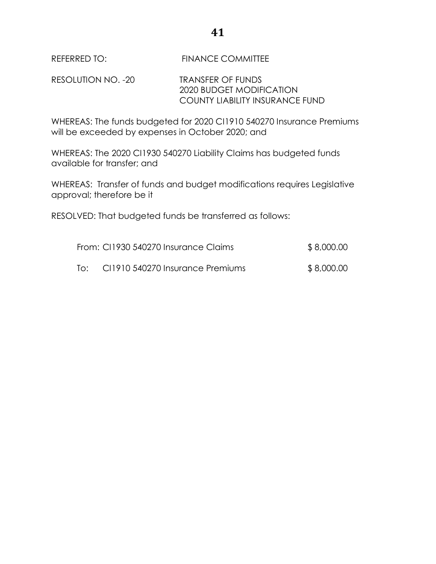REFERRED TO: FINANCE COMMITTEE

RESOLUTION NO. -20 TRANSFER OF FUNDS 2020 BUDGET MODIFICATION COUNTY LIABILITY INSURANCE FUND

WHEREAS: The funds budgeted for 2020 CI1910 540270 Insurance Premiums will be exceeded by expenses in October 2020; and

WHEREAS: The 2020 CI1930 540270 Liability Claims has budgeted funds available for transfer; and

WHEREAS: Transfer of funds and budget modifications requires Legislative approval; therefore be it

RESOLVED: That budgeted funds be transferred as follows:

|     | From: CI1930 540270 Insurance Claims | \$8,000.00 |
|-----|--------------------------------------|------------|
| lo: | CI1910 540270 Insurance Premiums     | \$8,000.00 |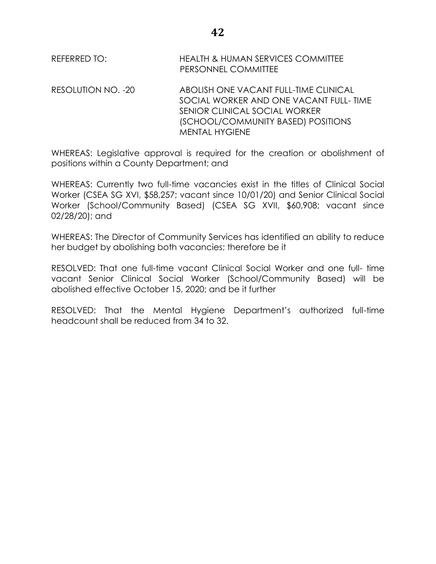REFERRED TO: HEALTH & HUMAN SERVICES COMMITTEE PERSONNEL COMMITTEE

RESOLUTION NO. -20 ABOLISH ONE VACANT FULL-TIME CLINICAL SOCIAL WORKER AND ONE VACANT FULL- TIME SENIOR CLINICAL SOCIAL WORKER (SCHOOL/COMMUNITY BASED) POSITIONS MENTAL HYGIENE

WHEREAS: Legislative approval is required for the creation or abolishment of positions within a County Department; and

WHEREAS: Currently two full-time vacancies exist in the titles of Clinical Social Worker (CSEA SG XVI, \$58,257; vacant since 10/01/20) and Senior Clinical Social Worker (School/Community Based) (CSEA SG XVII, \$60,908; vacant since 02/28/20); and

WHEREAS: The Director of Community Services has identified an ability to reduce her budget by abolishing both vacancies; therefore be it

RESOLVED: That one full-time vacant Clinical Social Worker and one full- time vacant Senior Clinical Social Worker (School/Community Based) will be abolished effective October 15, 2020; and be it further

RESOLVED: That the Mental Hygiene Department's authorized full-time headcount shall be reduced from 34 to 32.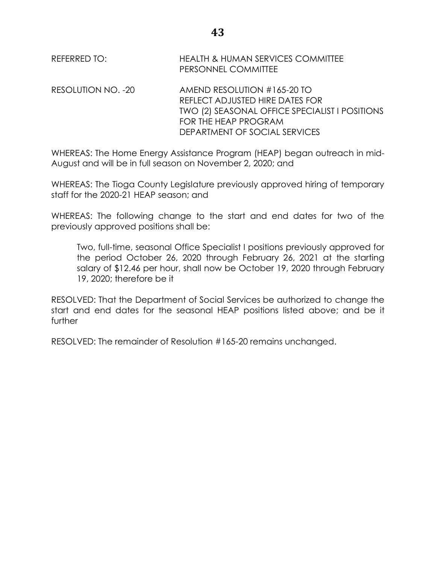REFERRED TO: HEALTH & HUMAN SERVICES COMMITTEE PERSONNEL COMMITTEE RESOLUTION NO. -20 AMEND RESOLUTION #165-20 TO REFLECT ADJUSTED HIRE DATES FOR TWO (2) SEASONAL OFFICE SPECIALIST I POSITIONS FOR THE HEAP PROGRAM DEPARTMENT OF SOCIAL SERVICES

WHEREAS: The Home Energy Assistance Program (HEAP) began outreach in mid-August and will be in full season on November 2, 2020; and

WHEREAS: The Tioga County Legislature previously approved hiring of temporary staff for the 2020-21 HEAP season; and

WHEREAS: The following change to the start and end dates for two of the previously approved positions shall be:

Two, full-time, seasonal Office Specialist I positions previously approved for the period October 26, 2020 through February 26, 2021 at the starting salary of \$12.46 per hour, shall now be October 19, 2020 through February 19, 2020; therefore be it

RESOLVED: That the Department of Social Services be authorized to change the start and end dates for the seasonal HEAP positions listed above; and be it further

RESOLVED: The remainder of Resolution #165-20 remains unchanged.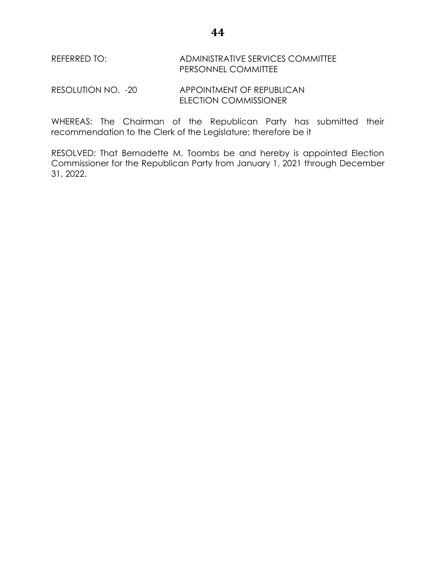REFERRED TO: ADMINISTRATIVE SERVICES COMMITTEE PERSONNEL COMMITTEE

RESOLUTION NO. -20 APPOINTMENT OF REPUBLICAN ELECTION COMMISSIONER

WHEREAS: The Chairman of the Republican Party has submitted their recommendation to the Clerk of the Legislature; therefore be it

RESOLVED: That Bernadette M. Toombs be and hereby is appointed Election Commissioner for the Republican Party from January 1, 2021 through December 31, 2022.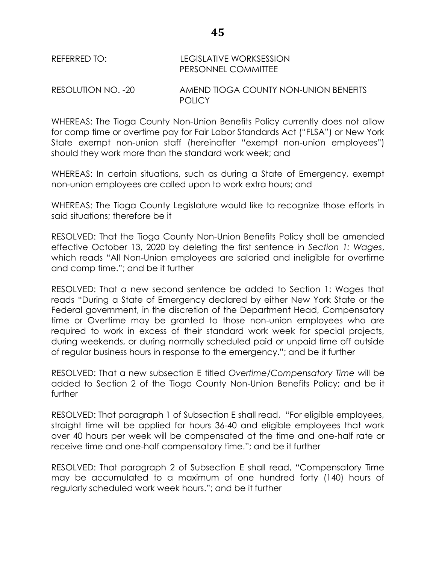REFERRED TO: LEGISLATIVE WORKSESSION PERSONNEL COMMITTEE

RESOLUTION NO. -20 AMEND TIOGA COUNTY NON-UNION BENEFITS **POLICY** 

WHEREAS: The Tioga County Non-Union Benefits Policy currently does not allow for comp time or overtime pay for Fair Labor Standards Act ("FLSA") or New York State exempt non-union staff (hereinafter "exempt non-union employees") should they work more than the standard work week; and

WHEREAS: In certain situations, such as during a State of Emergency, exempt non-union employees are called upon to work extra hours; and

WHEREAS: The Tioga County Legislature would like to recognize those efforts in said situations; therefore be it

RESOLVED: That the Tioga County Non-Union Benefits Policy shall be amended effective October 13, 2020 by deleting the first sentence in *Section 1: Wages*, which reads "All Non-Union employees are salaried and ineligible for overtime and comp time."; and be it further

RESOLVED: That a new second sentence be added to Section 1: Wages that reads "During a State of Emergency declared by either New York State or the Federal government, in the discretion of the Department Head, Compensatory time or Overtime may be granted to those non-union employees who are required to work in excess of their standard work week for special projects, during weekends, or during normally scheduled paid or unpaid time off outside of regular business hours in response to the emergency."; and be it further

RESOLVED: That a new subsection E titled *Overtime/Compensatory Time* will be added to Section 2 of the Tioga County Non-Union Benefits Policy; and be it further

RESOLVED: That paragraph 1 of Subsection E shall read, "For eligible employees, straight time will be applied for hours 36-40 and eligible employees that work over 40 hours per week will be compensated at the time and one-half rate or receive time and one-half compensatory time."; and be it further

RESOLVED: That paragraph 2 of Subsection E shall read, "Compensatory Time may be accumulated to a maximum of one hundred forty (140) hours of regularly scheduled work week hours."; and be it further